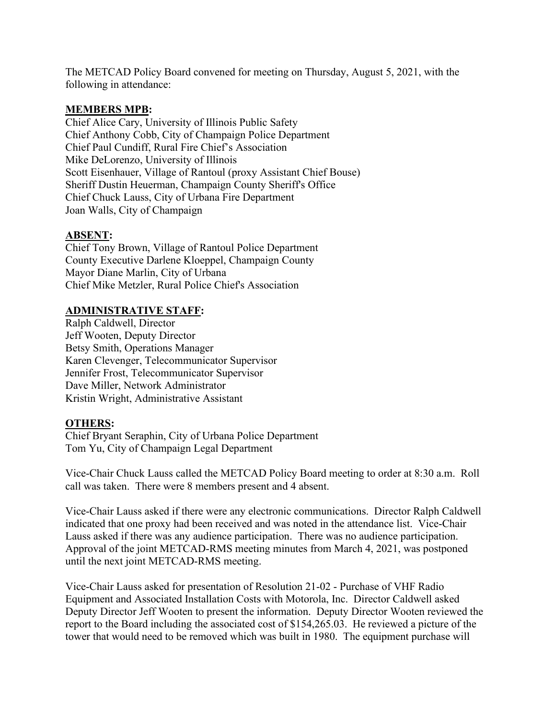The METCAD Policy Board convened for meeting on Thursday, August 5, 2021, with the following in attendance:

## **MEMBERS MPB:**

Chief Alice Cary, University of Illinois Public Safety Chief Anthony Cobb, City of Champaign Police Department Chief Paul Cundiff, Rural Fire Chief's Association Mike DeLorenzo, University of Illinois Scott Eisenhauer, Village of Rantoul (proxy Assistant Chief Bouse) Sheriff Dustin Heuerman, Champaign County Sheriff's Office Chief Chuck Lauss, City of Urbana Fire Department Joan Walls, City of Champaign

## **ABSENT:**

Chief Tony Brown, Village of Rantoul Police Department County Executive Darlene Kloeppel, Champaign County Mayor Diane Marlin, City of Urbana Chief Mike Metzler, Rural Police Chief's Association

## **ADMINISTRATIVE STAFF:**

Ralph Caldwell, Director Jeff Wooten, Deputy Director Betsy Smith, Operations Manager Karen Clevenger, Telecommunicator Supervisor Jennifer Frost, Telecommunicator Supervisor Dave Miller, Network Administrator Kristin Wright, Administrative Assistant

## **OTHERS:**

Chief Bryant Seraphin, City of Urbana Police Department Tom Yu, City of Champaign Legal Department

Vice-Chair Chuck Lauss called the METCAD Policy Board meeting to order at 8:30 a.m. Roll call was taken. There were 8 members present and 4 absent.

Vice-Chair Lauss asked if there were any electronic communications. Director Ralph Caldwell indicated that one proxy had been received and was noted in the attendance list. Vice-Chair Lauss asked if there was any audience participation. There was no audience participation. Approval of the joint METCAD-RMS meeting minutes from March 4, 2021, was postponed until the next joint METCAD-RMS meeting.

Vice-Chair Lauss asked for presentation of Resolution 21-02 - Purchase of VHF Radio Equipment and Associated Installation Costs with Motorola, Inc. Director Caldwell asked Deputy Director Jeff Wooten to present the information. Deputy Director Wooten reviewed the report to the Board including the associated cost of \$154,265.03. He reviewed a picture of the tower that would need to be removed which was built in 1980. The equipment purchase will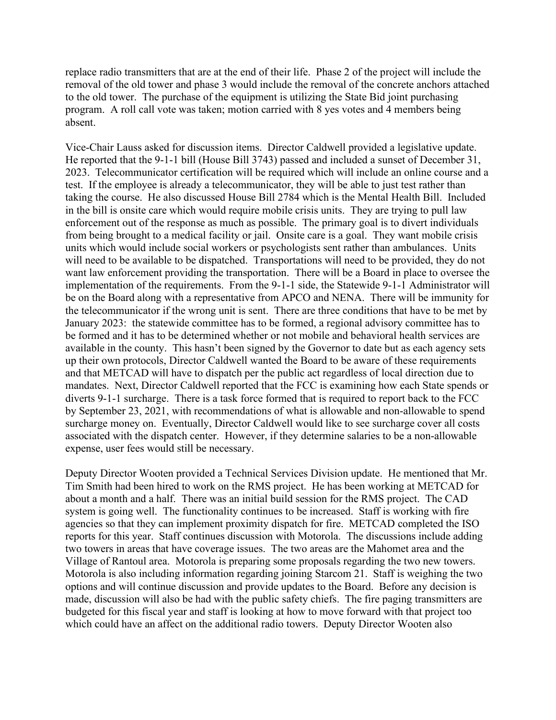replace radio transmitters that are at the end of their life. Phase 2 of the project will include the removal of the old tower and phase 3 would include the removal of the concrete anchors attached to the old tower. The purchase of the equipment is utilizing the State Bid joint purchasing program. A roll call vote was taken; motion carried with 8 yes votes and 4 members being absent.

Vice-Chair Lauss asked for discussion items. Director Caldwell provided a legislative update. He reported that the 9-1-1 bill (House Bill 3743) passed and included a sunset of December 31, 2023. Telecommunicator certification will be required which will include an online course and a test. If the employee is already a telecommunicator, they will be able to just test rather than taking the course. He also discussed House Bill 2784 which is the Mental Health Bill. Included in the bill is onsite care which would require mobile crisis units. They are trying to pull law enforcement out of the response as much as possible. The primary goal is to divert individuals from being brought to a medical facility or jail. Onsite care is a goal. They want mobile crisis units which would include social workers or psychologists sent rather than ambulances. Units will need to be available to be dispatched. Transportations will need to be provided, they do not want law enforcement providing the transportation. There will be a Board in place to oversee the implementation of the requirements. From the 9-1-1 side, the Statewide 9-1-1 Administrator will be on the Board along with a representative from APCO and NENA. There will be immunity for the telecommunicator if the wrong unit is sent. There are three conditions that have to be met by January 2023: the statewide committee has to be formed, a regional advisory committee has to be formed and it has to be determined whether or not mobile and behavioral health services are available in the county. This hasn't been signed by the Governor to date but as each agency sets up their own protocols, Director Caldwell wanted the Board to be aware of these requirements and that METCAD will have to dispatch per the public act regardless of local direction due to mandates. Next, Director Caldwell reported that the FCC is examining how each State spends or diverts 9-1-1 surcharge. There is a task force formed that is required to report back to the FCC by September 23, 2021, with recommendations of what is allowable and non-allowable to spend surcharge money on. Eventually, Director Caldwell would like to see surcharge cover all costs associated with the dispatch center. However, if they determine salaries to be a non-allowable expense, user fees would still be necessary.

Deputy Director Wooten provided a Technical Services Division update. He mentioned that Mr. Tim Smith had been hired to work on the RMS project. He has been working at METCAD for about a month and a half. There was an initial build session for the RMS project. The CAD system is going well. The functionality continues to be increased. Staff is working with fire agencies so that they can implement proximity dispatch for fire. METCAD completed the ISO reports for this year. Staff continues discussion with Motorola. The discussions include adding two towers in areas that have coverage issues. The two areas are the Mahomet area and the Village of Rantoul area. Motorola is preparing some proposals regarding the two new towers. Motorola is also including information regarding joining Starcom 21. Staff is weighing the two options and will continue discussion and provide updates to the Board. Before any decision is made, discussion will also be had with the public safety chiefs. The fire paging transmitters are budgeted for this fiscal year and staff is looking at how to move forward with that project too which could have an affect on the additional radio towers. Deputy Director Wooten also